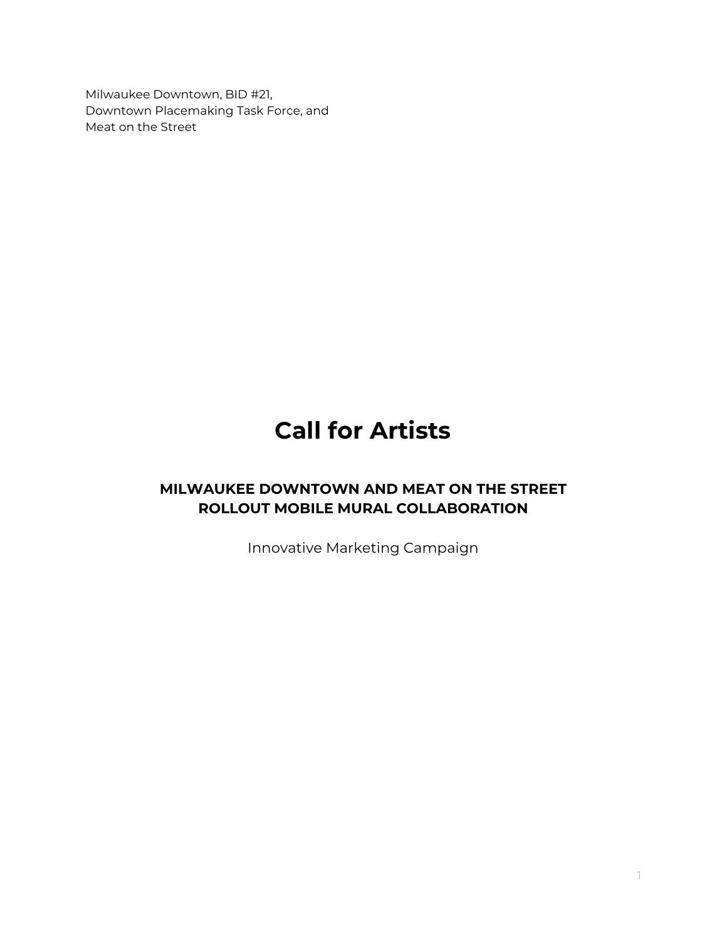Milwaukee Downtown, BID #21, Downtown Placemaking Task Force, and Meat on the Street

# **Call for Artists**

# **MILWAUKEE DOWNTOWN AND MEAT ON THE STREET ROLLOUT MOBILE MURAL COLLABORATION**

Innovative Marketing Campaign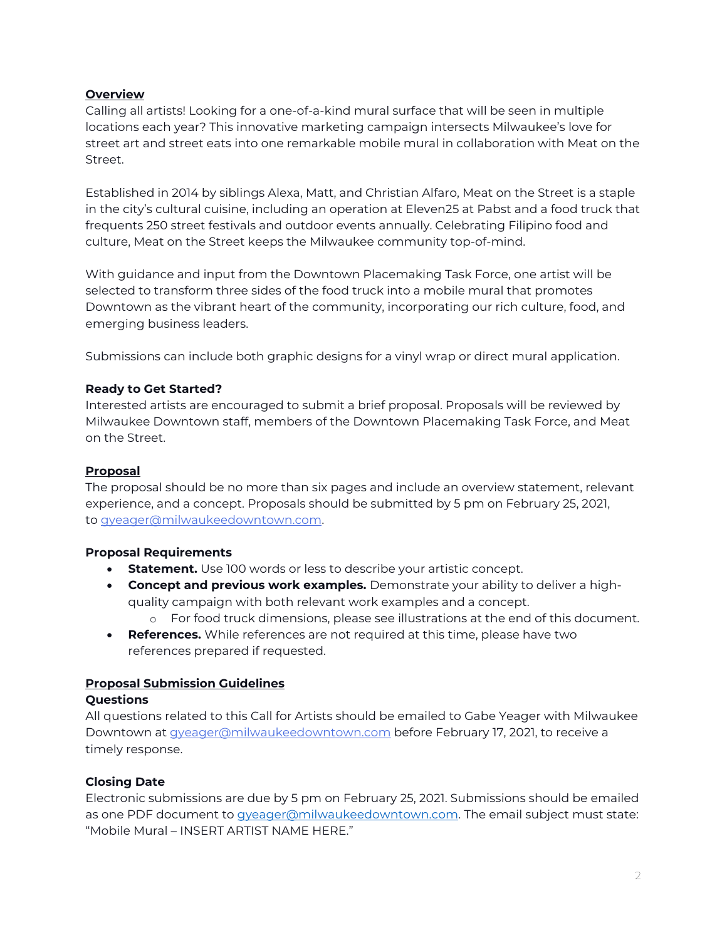### **Overview**

Calling all artists! Looking for a one-of-a-kind mural surface that will be seen in multiple locations each year? This innovative marketing campaign intersects Milwaukee's love for street art and street eats into one remarkable mobile mural in collaboration with Meat on the Street.

Established in 2014 by siblings Alexa, Matt, and Christian Alfaro, Meat on the Street is a staple in the city's cultural cuisine, including an operation at Eleven25 at Pabst and a food truck that frequents 250 street festivals and outdoor events annually. Celebrating Filipino food and culture, Meat on the Street keeps the Milwaukee community top-of-mind.

With guidance and input from the Downtown Placemaking Task Force, one artist will be selected to transform three sides of the food truck into a mobile mural that promotes Downtown as the vibrant heart of the community, incorporating our rich culture, food, and emerging business leaders.

Submissions can include both graphic designs for a vinyl wrap or direct mural application.

#### **Ready to Get Started?**

Interested artists are encouraged to submit a brief proposal. Proposals will be reviewed by Milwaukee Downtown staff, members of the Downtown Placemaking Task Force, and Meat on the Street.

#### **Proposal**

The proposal should be no more than six pages and include an overview statement, relevant experience, and a concept. Proposals should be submitted by 5 pm on February 25, 2021, to [gyeager@milwaukeedowntown.com.](mailto:gyeager@milwaukeedowntown.com)

#### **Proposal Requirements**

- **Statement.** Use 100 words or less to describe your artistic concept.
- **Concept and previous work examples.** Demonstrate your ability to deliver a highquality campaign with both relevant work examples and a concept.
	- o For food truck dimensions, please see illustrations at the end of this document.
- **References.** While references are not required at this time, please have two references prepared if requested.

#### **Proposal Submission Guidelines**

#### **Questions**

All questions related to this Call for Artists should be emailed to Gabe Yeager with Milwaukee Downtown at *[gyeager@milwaukeedowntown.com](mailto:gyeager@milwaukeedowntown.com)* before February 17, 2021, to receive a timely response.

#### **Closing Date**

Electronic submissions are due by 5 pm on February 25, 2021. Submissions should be emailed as one PDF document to [gyeager@milwaukeedowntown.com.](mailto:gyeager@milwaukeedowntown.com) The email subject must state: "Mobile Mural – INSERT ARTIST NAME HERE."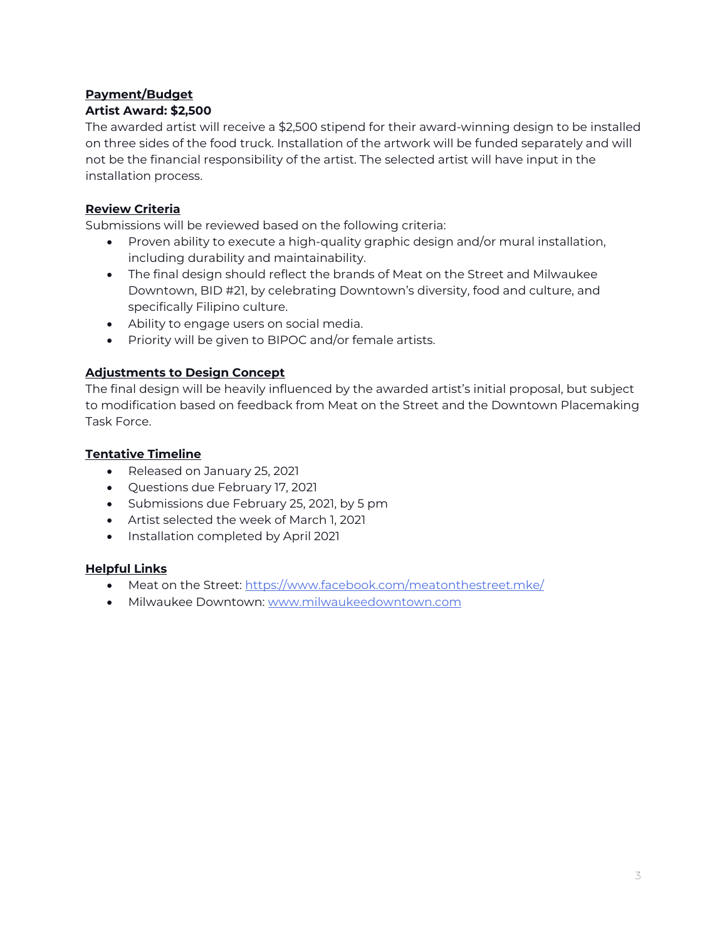#### **Payment/Budget Artist Award: \$2,500**

The awarded artist will receive a \$2,500 stipend for their award-winning design to be installed on three sides of the food truck. Installation of the artwork will be funded separately and will not be the financial responsibility of the artist. The selected artist will have input in the installation process.

# **Review Criteria**

Submissions will be reviewed based on the following criteria:

- Proven ability to execute a high-quality graphic design and/or mural installation, including durability and maintainability.
- The final design should reflect the brands of Meat on the Street and Milwaukee Downtown, BID #21, by celebrating Downtown's diversity, food and culture, and specifically Filipino culture.
- Ability to engage users on social media.
- Priority will be given to BIPOC and/or female artists.

# **Adjustments to Design Concept**

The final design will be heavily influenced by the awarded artist's initial proposal, but subject to modification based on feedback from Meat on the Street and the Downtown Placemaking Task Force.

# **Tentative Timeline**

- Released on January 25, 2021
- Questions due February 17, 2021
- Submissions due February 25, 2021, by 5 pm
- Artist selected the week of March 1, 2021
- Installation completed by April 2021

### **Helpful Links**

- Meat on the Street: <https://www.facebook.com/meatonthestreet.mke/>
- Milwaukee Downtown: [www.milwaukeedowntown.com](http://www.milwaukeedowntown.com/)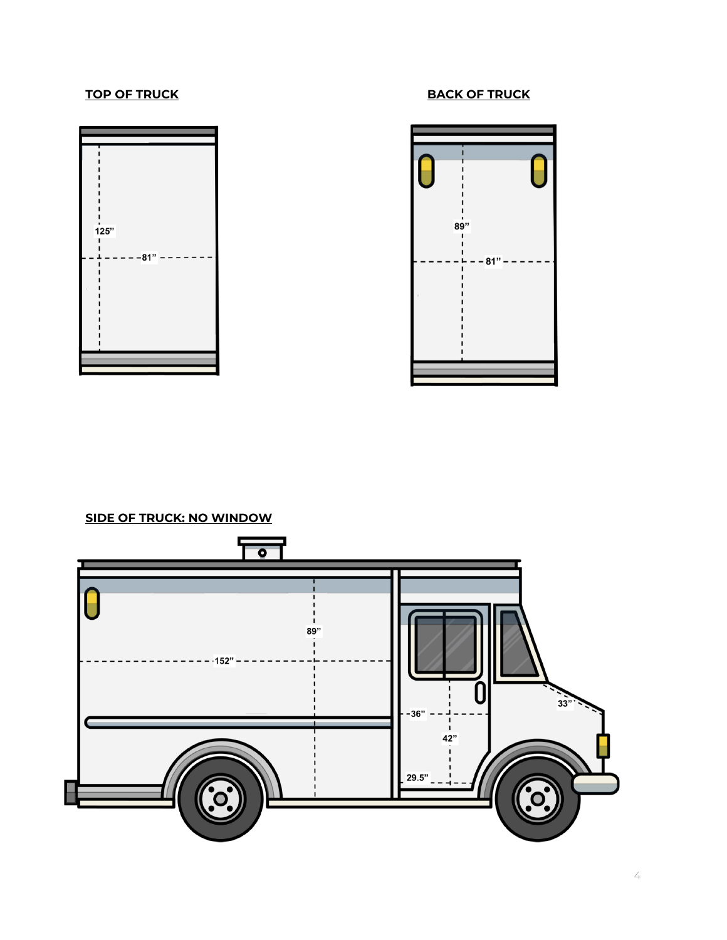





**SIDE OF TRUCK: NO WINDOW**